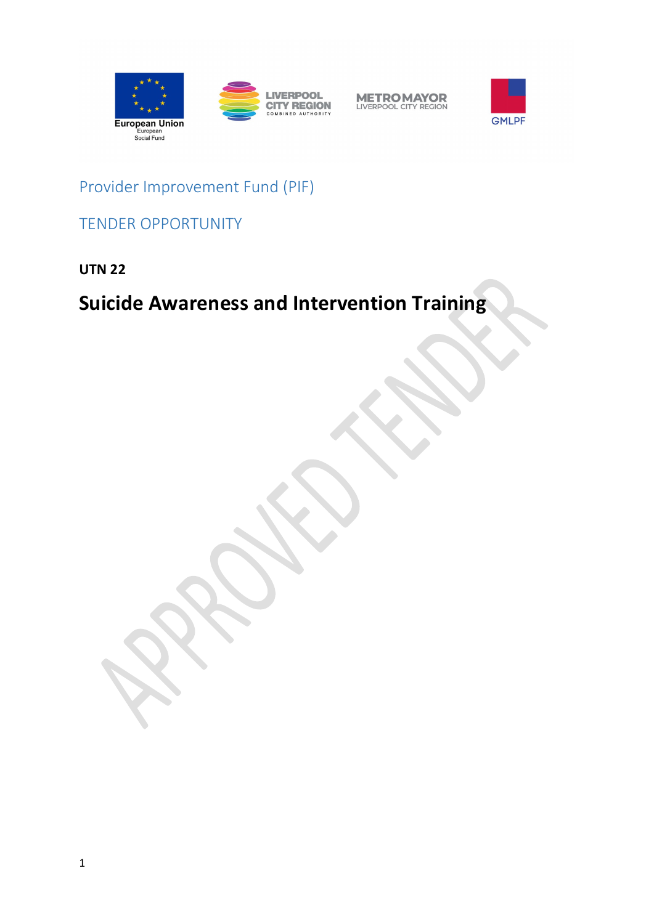





Provider Improvement Fund (PIF)

TENDER OPPORTUNITY

**UTN 22**

# **Suicide Awareness and Intervention Training**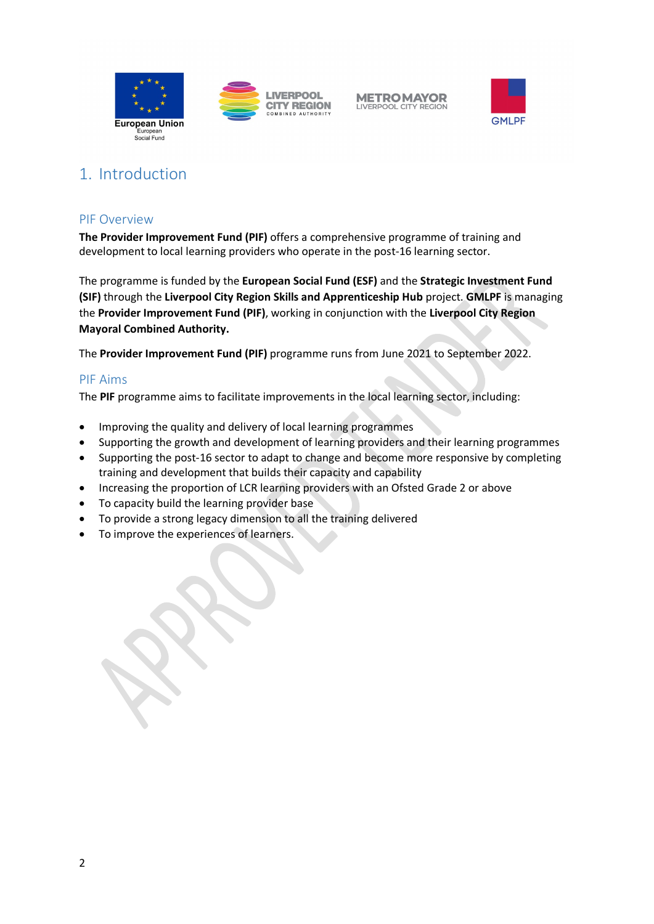





# 1. Introduction

### PIF Overview

**The Provider Improvement Fund (PIF)** offers a comprehensive programme of training and development to local learning providers who operate in the post-16 learning sector.

The programme is funded by the **European Social Fund (ESF)** and the **Strategic Investment Fund (SIF)** through the **Liverpool City Region Skills and Apprenticeship Hub** project. **GMLPF** is managing the **Provider Improvement Fund (PIF)**, working in conjunction with the **Liverpool City Region Mayoral Combined Authority.**

The **Provider Improvement Fund (PIF)** programme runs from June 2021 to September 2022.

#### PIF Aims

The **PIF** programme aims to facilitate improvements in the local learning sector, including:

- Improving the quality and delivery of local learning programmes
- Supporting the growth and development of learning providers and their learning programmes
- Supporting the post-16 sector to adapt to change and become more responsive by completing training and development that builds their capacity and capability
- Increasing the proportion of LCR learning providers with an Ofsted Grade 2 or above
- To capacity build the learning provider base
- To provide a strong legacy dimension to all the training delivered
- To improve the experiences of learners.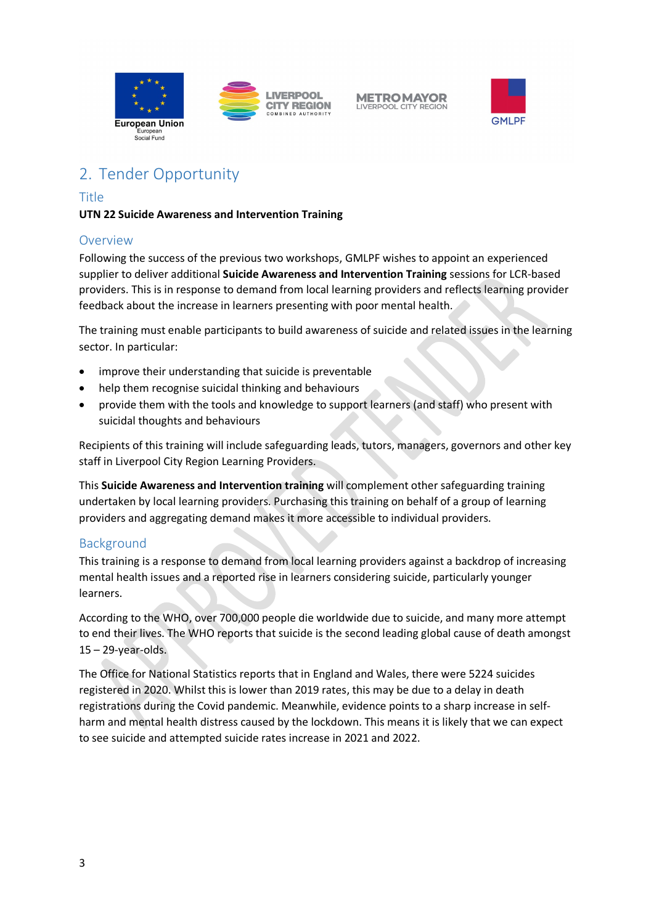



# 2. Tender Opportunity

# Title

### **UTN 22 Suicide Awareness and Intervention Training**

# Overview

Following the success of the previous two workshops, GMLPF wishes to appoint an experienced supplier to deliver additional **Suicide Awareness and Intervention Training** sessions for LCR-based providers. This is in response to demand from local learning providers and reflects learning provider feedback about the increase in learners presenting with poor mental health.

The training must enable participants to build awareness of suicide and related issues in the learning sector. In particular:

- improve their understanding that suicide is preventable
- help them recognise suicidal thinking and behaviours
- provide them with the tools and knowledge to support learners (and staff) who present with suicidal thoughts and behaviours

Recipients of this training will include safeguarding leads, tutors, managers, governors and other key staff in Liverpool City Region Learning Providers.

This **Suicide Awareness and Intervention training** will complement other safeguarding training undertaken by local learning providers. Purchasing this training on behalf of a group of learning providers and aggregating demand makes it more accessible to individual providers.

# Background

This training is a response to demand from local learning providers against a backdrop of increasing mental health issues and a reported rise in learners considering suicide, particularly younger learners.

According to the WHO, over 700,000 people die worldwide due to suicide, and many more attempt to end their lives. The WHO reports that suicide is the second leading global cause of death amongst 15 – 29-year-olds.

The Office for National Statistics reports that in England and Wales, there were 5224 suicides registered in 2020. Whilst this is lower than 2019 rates, this may be due to a delay in death registrations during the Covid pandemic. Meanwhile, evidence points to a sharp increase in selfharm and mental health distress caused by the lockdown. This means it is likely that we can expect to see suicide and attempted suicide rates increase in 2021 and 2022.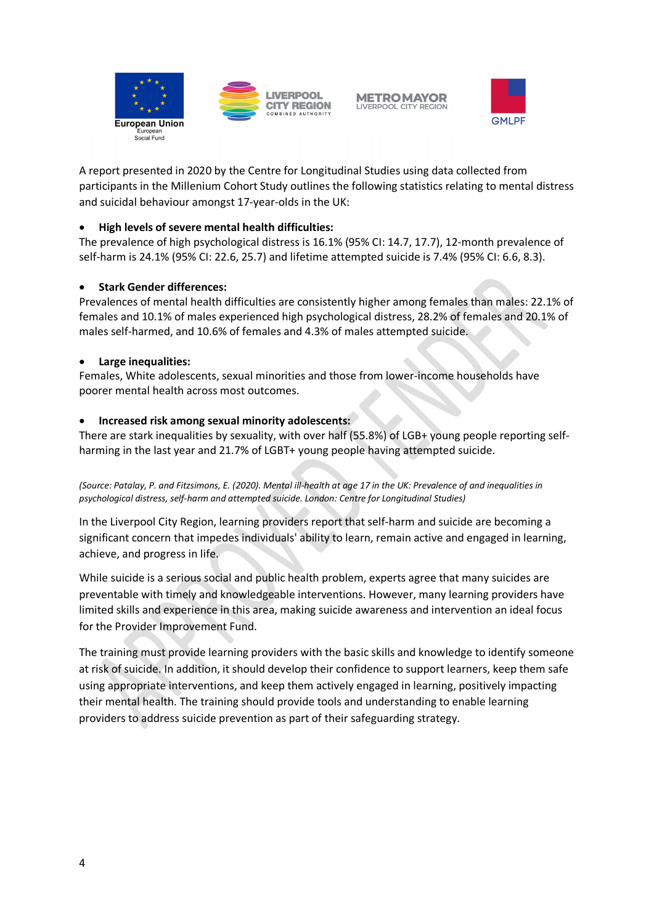



A report presented in 2020 by the Centre for Longitudinal Studies using data collected from participants in the Millenium Cohort Study outlines the following statistics relating to mental distress and suicidal behaviour amongst 17-year-olds in the UK:

#### • **High levels of severe mental health difficulties:**

The prevalence of high psychological distress is 16.1% (95% CI: 14.7, 17.7), 12-month prevalence of self-harm is 24.1% (95% CI: 22.6, 25.7) and lifetime attempted suicide is 7.4% (95% CI: 6.6, 8.3).

#### • **Stark Gender differences:**

Prevalences of mental health difficulties are consistently higher among females than males: 22.1% of females and 10.1% of males experienced high psychological distress, 28.2% of females and 20.1% of males self-harmed, and 10.6% of females and 4.3% of males attempted suicide.

#### • **Large inequalities:**

Females, White adolescents, sexual minorities and those from lower-income households have poorer mental health across most outcomes.

#### • **Increased risk among sexual minority adolescents:**

There are stark inequalities by sexuality, with over half (55.8%) of LGB+ young people reporting selfharming in the last year and 21.7% of LGBT+ young people having attempted suicide.

*(Source: Patalay, P. and Fitzsimons, E. (2020). Mental ill-health at age 17 in the UK: Prevalence of and inequalities in psychological distress, self-harm and attempted suicide. London: Centre for Longitudinal Studies)*

In the Liverpool City Region, learning providers report that self-harm and suicide are becoming a significant concern that impedes individuals' ability to learn, remain active and engaged in learning, achieve, and progress in life.

While suicide is a serious social and public health problem, experts agree that many suicides are preventable with timely and knowledgeable interventions. However, many learning providers have limited skills and experience in this area, making suicide awareness and intervention an ideal focus for the Provider Improvement Fund.

The training must provide learning providers with the basic skills and knowledge to identify someone at risk of suicide. In addition, it should develop their confidence to support learners, keep them safe using appropriate interventions, and keep them actively engaged in learning, positively impacting their mental health. The training should provide tools and understanding to enable learning providers to address suicide prevention as part of their safeguarding strategy.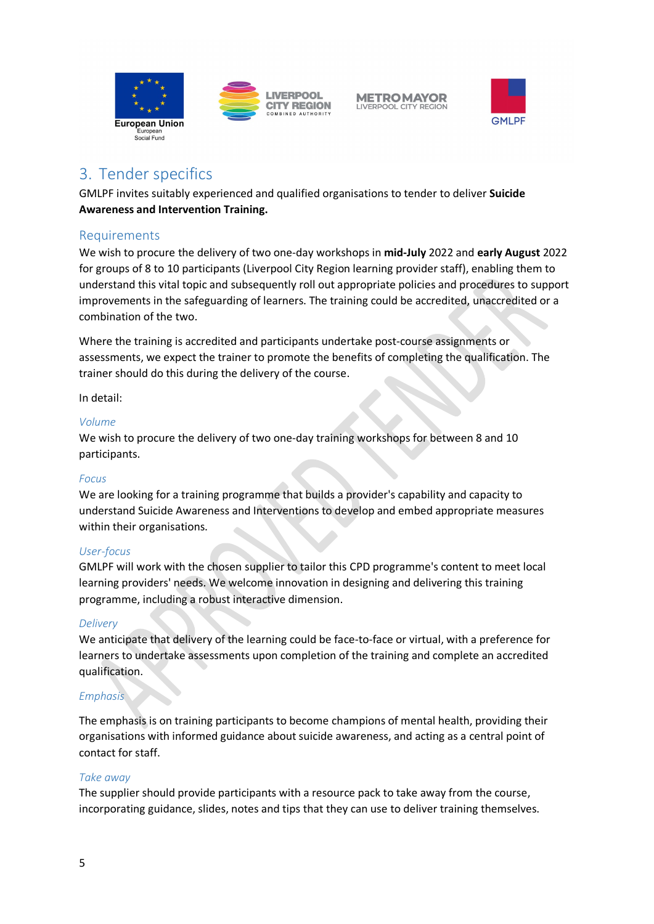



# 3. Tender specifics

GMLPF invites suitably experienced and qualified organisations to tender to deliver **Suicide Awareness and Intervention Training.**

# Requirements

We wish to procure the delivery of two one-day workshops in **mid-July** 2022 and **early August** 2022 for groups of 8 to 10 participants (Liverpool City Region learning provider staff), enabling them to understand this vital topic and subsequently roll out appropriate policies and procedures to support improvements in the safeguarding of learners. The training could be accredited, unaccredited or a combination of the two.

Where the training is accredited and participants undertake post-course assignments or assessments, we expect the trainer to promote the benefits of completing the qualification. The trainer should do this during the delivery of the course.

In detail:

#### *Volume*

We wish to procure the delivery of two one-day training workshops for between 8 and 10 participants.

#### *Focus*

We are looking for a training programme that builds a provider's capability and capacity to understand Suicide Awareness and Interventions to develop and embed appropriate measures within their organisations.

#### *User-focus*

GMLPF will work with the chosen supplier to tailor this CPD programme's content to meet local learning providers' needs. We welcome innovation in designing and delivering this training programme, including a robust interactive dimension.

#### *Delivery*

We anticipate that delivery of the learning could be face-to-face or virtual, with a preference for learners to undertake assessments upon completion of the training and complete an accredited qualification.

# *Emphasis*

The emphasis is on training participants to become champions of mental health, providing their organisations with informed guidance about suicide awareness, and acting as a central point of contact for staff.

#### *Take away*

The supplier should provide participants with a resource pack to take away from the course, incorporating guidance, slides, notes and tips that they can use to deliver training themselves.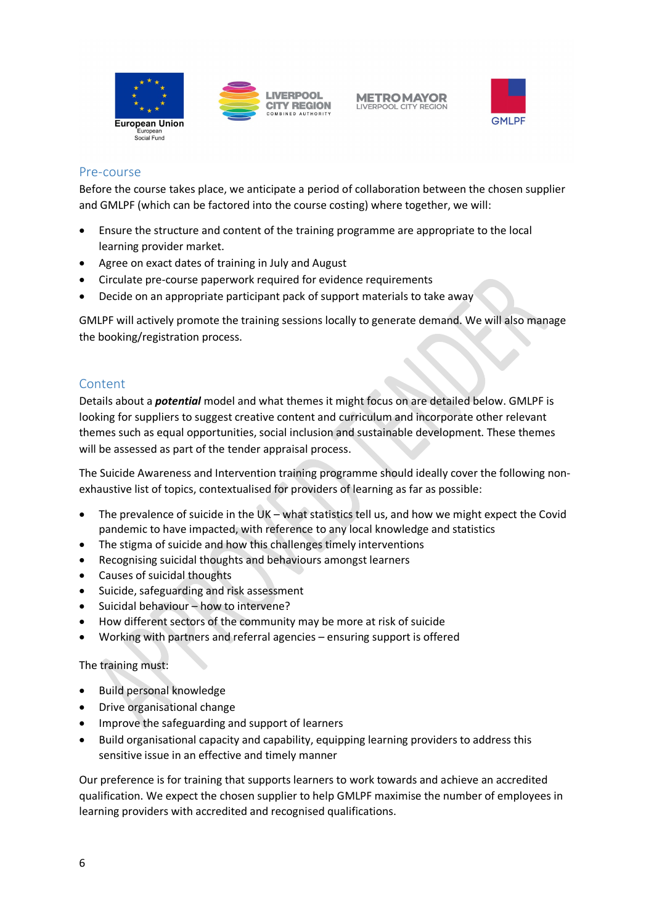





### Pre-course

Before the course takes place, we anticipate a period of collaboration between the chosen supplier and GMLPF (which can be factored into the course costing) where together, we will:

- Ensure the structure and content of the training programme are appropriate to the local learning provider market.
- Agree on exact dates of training in July and August
- Circulate pre-course paperwork required for evidence requirements
- Decide on an appropriate participant pack of support materials to take away

GMLPF will actively promote the training sessions locally to generate demand. We will also manage the booking/registration process.

# Content

Details about a *potential* model and what themes it might focus on are detailed below. GMLPF is looking for suppliers to suggest creative content and curriculum and incorporate other relevant themes such as equal opportunities, social inclusion and sustainable development. These themes will be assessed as part of the tender appraisal process.

The Suicide Awareness and Intervention training programme should ideally cover the following nonexhaustive list of topics, contextualised for providers of learning as far as possible:

- The prevalence of suicide in the UK what statistics tell us, and how we might expect the Covid pandemic to have impacted, with reference to any local knowledge and statistics
- The stigma of suicide and how this challenges timely interventions
- Recognising suicidal thoughts and behaviours amongst learners
- Causes of suicidal thoughts
- Suicide, safeguarding and risk assessment
- Suicidal behaviour how to intervene?
- How different sectors of the community may be more at risk of suicide
- Working with partners and referral agencies ensuring support is offered

#### The training must:

- Build personal knowledge
- Drive organisational change
- Improve the safeguarding and support of learners
- Build organisational capacity and capability, equipping learning providers to address this sensitive issue in an effective and timely manner

Our preference is for training that supports learners to work towards and achieve an accredited qualification. We expect the chosen supplier to help GMLPF maximise the number of employees in learning providers with accredited and recognised qualifications.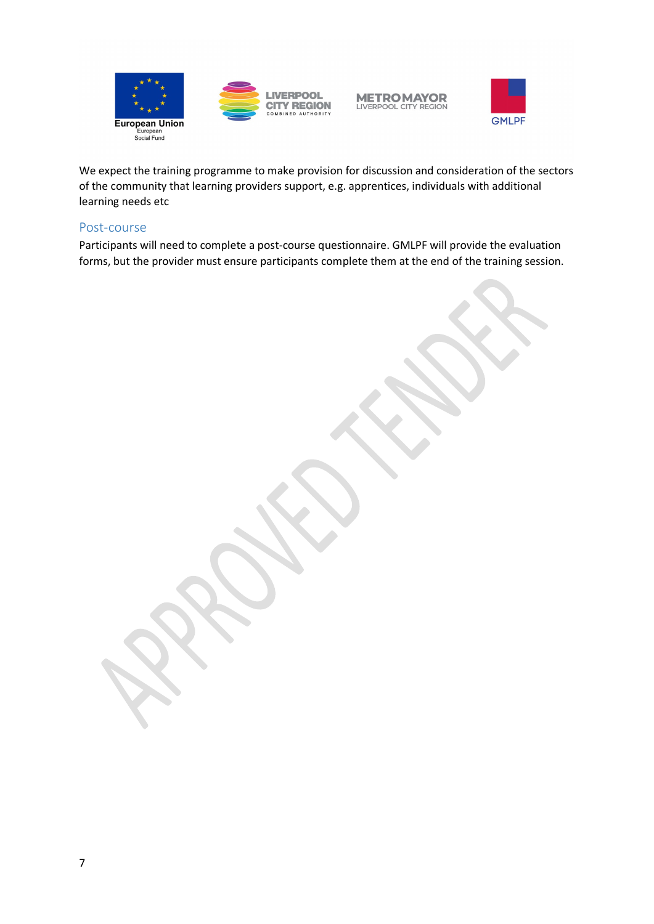

**LIVERPOOL CITY REGION** 

**METRO MAYOR**<br>LIVERPOOL CITY REGION



We expect the training programme to make provision for discussion and consideration of the sectors of the community that learning providers support, e.g. apprentices, individuals with additional learning needs etc

#### Post-course

Participants will need to complete a post-course questionnaire. GMLPF will provide the evaluation forms, but the provider must ensure participants complete them at the end of the training session.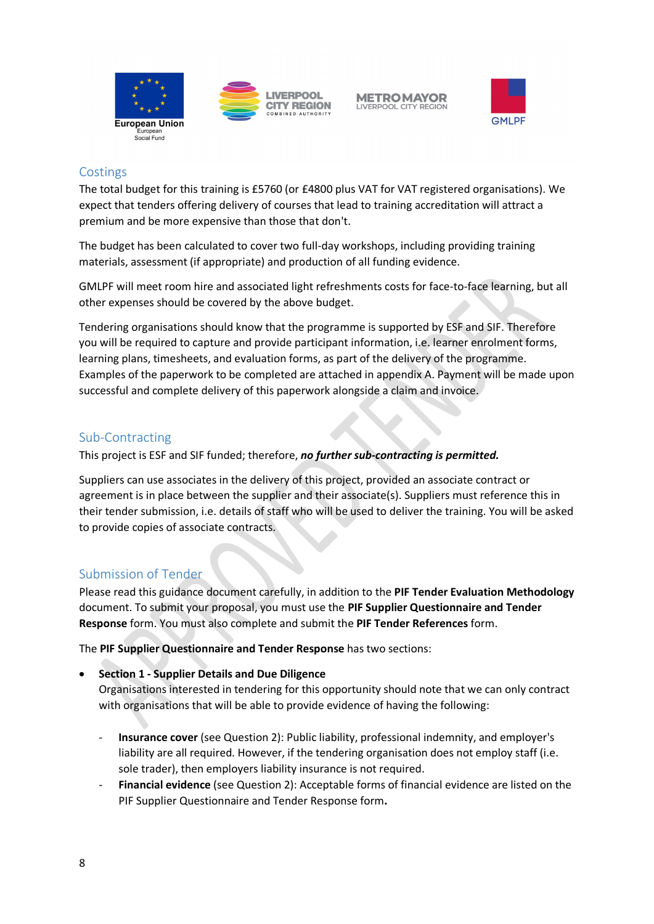



# **Costings**

The total budget for this training is £5760 (or £4800 plus VAT for VAT registered organisations). We expect that tenders offering delivery of courses that lead to training accreditation will attract a premium and be more expensive than those that don't.

The budget has been calculated to cover two full-day workshops, including providing training materials, assessment (if appropriate) and production of all funding evidence.

GMLPF will meet room hire and associated light refreshments costs for face-to-face learning, but all other expenses should be covered by the above budget.

Tendering organisations should know that the programme is supported by ESF and SIF. Therefore you will be required to capture and provide participant information, i.e. learner enrolment forms, learning plans, timesheets, and evaluation forms, as part of the delivery of the programme. Examples of the paperwork to be completed are attached in appendix A. Payment will be made upon successful and complete delivery of this paperwork alongside a claim and invoice.

# Sub-Contracting

This project is ESF and SIF funded; therefore, *no further sub-contracting is permitted.*

Suppliers can use associates in the delivery of this project, provided an associate contract or agreement is in place between the supplier and their associate(s). Suppliers must reference this in their tender submission, i.e. details of staff who will be used to deliver the training. You will be asked to provide copies of associate contracts.

# Submission of Tender

Please read this guidance document carefully, in addition to the **PIF Tender Evaluation Methodology** document. To submit your proposal, you must use the **PIF Supplier Questionnaire and Tender Response** form. You must also complete and submit the **PIF Tender References** form.

The **PIF Supplier Questionnaire and Tender Response** has two sections:

#### • **Section 1 - Supplier Details and Due Diligence**

Organisations interested in tendering for this opportunity should note that we can only contract with organisations that will be able to provide evidence of having the following:

- **Insurance cover** (see Question 2): Public liability, professional indemnity, and employer's liability are all required. However, if the tendering organisation does not employ staff (i.e. sole trader), then employers liability insurance is not required.
- **Financial evidence** (see Question 2): Acceptable forms of financial evidence are listed on the PIF Supplier Questionnaire and Tender Response form**.**